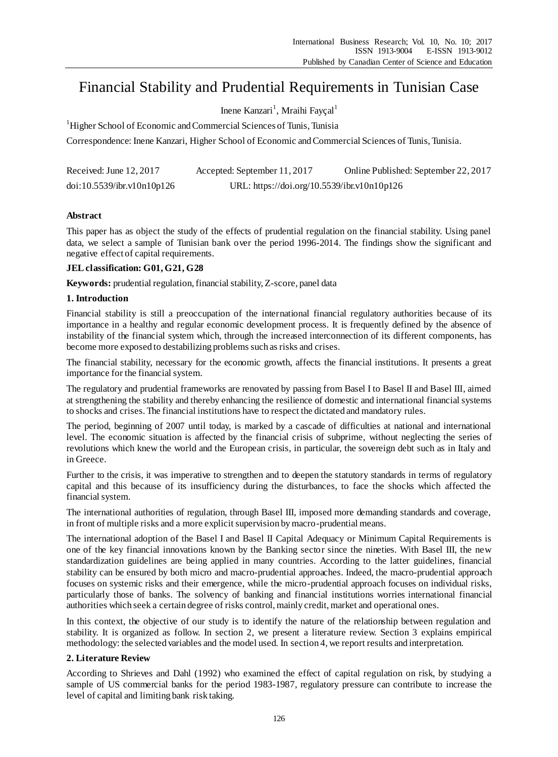# Financial Stability and Prudential Requirements in Tunisian Case

Inene Kanzari<sup>1</sup>, Mraihi Fayçal<sup>1</sup>

<sup>1</sup>Higher School of Economic and Commercial Sciences of Tunis, Tunisia

Correspondence: Inene Kanzari, Higher School of Economic and Commercial Sciences of Tunis, Tunisia.

| Received: June $12,2017$   | Accepted: September 11, 2017                | Online Published: September 22, 2017 |  |  |
|----------------------------|---------------------------------------------|--------------------------------------|--|--|
| doi:10.5539/ibr.v10n10p126 | URL: https://doi.org/10.5539/ibr.v10n10p126 |                                      |  |  |

# **Abstract**

This paper has as object the study of the effects of prudential regulation on the financial stability. Using panel data, we select a sample of Tunisian bank over the period 1996-2014. The findings show the significant and negative effect of capital requirements.

# **JEL classification: G01, G21, G28**

**Keywords:** prudential regulation, financial stability, Z-score, panel data

## **1. Introduction**

Financial stability is still a preoccupation of the international financial regulatory authorities because of its importance in a healthy and regular economic development process. It is frequently defined by the absence of instability of the financial system which, through the increased interconnection of its different components, has become more exposed to destabilizing problems such as risks and crises.

The financial stability, necessary for the economic growth, affects the financial institutions. It presents a great importance for the financial system.

The regulatory and prudential frameworks are renovated by passing from Basel I to Basel II and Basel III, aimed at strengthening the stability and thereby enhancing the resilience of domestic and international financial systems to shocks and crises. The financial institutions have to respect the dictated and mandatory rules.

The period, beginning of 2007 until today, is marked by a cascade of difficulties at national and international level. The economic situation is affected by the financial crisis of subprime, without neglecting the series of revolutions which knew the world and the European crisis, in particular, the sovereign debt such as in Italy and in Greece.

Further to the crisis, it was imperative to strengthen and to deepen the statutory standards in terms of regulatory capital and this because of its insufficiency during the disturbances, to face the shocks which affected the financial system.

The international authorities of regulation, through Basel III, imposed more demanding standards and coverage, in front of multiple risks and a more explicit supervision by macro-prudential means.

The international adoption of the Basel I and Basel II Capital Adequacy or Minimum Capital Requirements is one of the key financial innovations known by the Banking sector since the nineties. With Basel III, the new standardization guidelines are being applied in many countries. According to the latter guidelines, financial stability can be ensured by both micro and macro-prudential approaches. Indeed, the macro-prudential approach focuses on systemic risks and their emergence, while the micro-prudential approach focuses on individual risks, particularly those of banks. The solvency of banking and financial institutions worries international financial authorities which seek a certain degree of risks control, mainly credit, market and operational ones.

In this context, the objective of our study is to identify the nature of the relationship between regulation and stability. It is organized as follow. In section 2, we present a literature review. Section 3 explains empirical methodology: the selected variables and the model used. In section 4, we report results and interpretation.

## **2. Literature Review**

According to Shrieves and Dahl (1992) who examined the effect of capital regulation on risk, by studying a sample of US commercial banks for the period 1983-1987, regulatory pressure can contribute to increase the level of capital and limiting bank risk taking.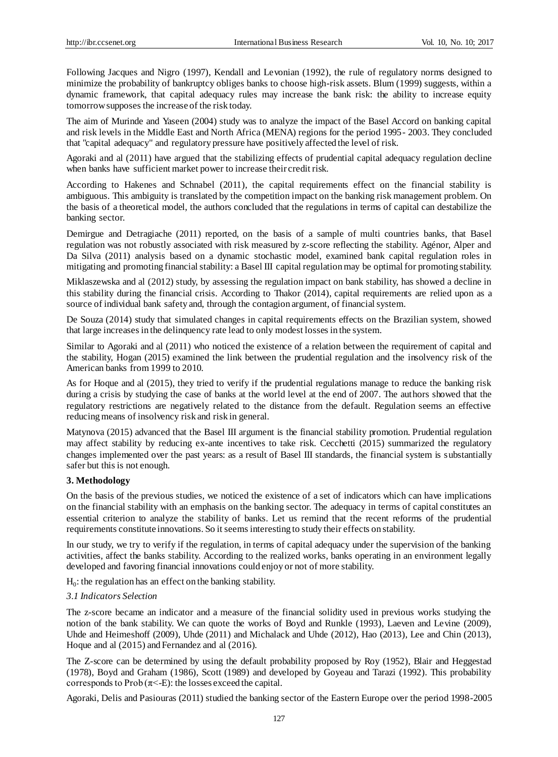Following Jacques and Nigro (1997), Kendall and Levonian (1992), the rule of regulatory norms designed to minimize the probability of bankruptcy obliges banks to choose high-risk assets. Blum (1999) suggests, within a dynamic framework, that capital adequacy rules may increase the bank risk: the ability to increase equity tomorrow supposes the increase of the risk today.

The aim of Murinde and Yaseen (2004) study was to analyze the impact of the Basel Accord on banking capital and risk levels in the Middle East and North Africa (MENA) regions for the period 1995- 2003. They concluded that "capital adequacy" and regulatory pressure have positively affected the level of risk.

Agoraki and al (2011) have argued that the stabilizing effects of prudential capital adequacy regulation decline when banks have sufficient market power to increase their credit risk.

According to Hakenes and Schnabel (2011), the capital requirements effect on the financial stability is ambiguous. This ambiguity is translated by the competition impact on the banking risk management problem. On the basis of a theoretical model, the authors concluded that the regulations in terms of capital can destabilize the banking sector.

Demirgue and Detragiache (2011) reported, on the basis of a sample of multi countries banks, that Basel regulation was not robustly associated with risk measured by z-score reflecting the stability. Agénor, Alper and Da Silva (2011) analysis based on a dynamic stochastic model, examined bank capital regulation roles in mitigating and promoting financial stability: a Basel III capital regulation may be optimal for promoting stability.

Miklaszewska and al (2012) study, by assessing the regulation impact on bank stability, has showed a decline in this stability during the financial crisis. According to Thakor (2014), capital requirements are relied upon as a source of individual bank safety and, through the contagion argument, of financial system.

De Souza (2014) study that simulated changes in capital requirements effects on the Brazilian system, showed that large increases in the delinquency rate lead to only modest losses in the system.

Similar to Agoraki and al (2011) who noticed the existence of a relation between the requirement of capital and the stability, Hogan (2015) examined the link between the prudential regulation and the insolvency risk of the American banks from 1999 to 2010.

As for Hoque and al (2015), they tried to verify if the prudential regulations manage to reduce the banking risk during a crisis by studying the case of banks at the world level at the end of 2007. The authors showed that the regulatory restrictions are negatively related to the distance from the default. Regulation seems an effective reducing means of insolvency risk and risk in general.

Matynova (2015) advanced that the Basel III argument is the financial stability promotion. Prudential regulation may affect stability by reducing ex-ante incentives to take risk. Cecchetti (2015) summarized the regulatory changes implemented over the past years: as a result of Basel III standards, the financial system is substantially safer but this is not enough.

## **3. Methodology**

On the basis of the previous studies, we noticed the existence of a set of indicators which can have implications on the financial stability with an emphasis on the banking sector. The adequacy in terms of capital constitutes an essential criterion to analyze the stability of banks. Let us remind that the recent reforms of the prudential requirements constitute innovations. So it seems interesting to study their effects on stability.

In our study, we try to verify if the regulation, in terms of capital adequacy under the supervision of the banking activities, affect the banks stability. According to the realized works, banks operating in an environment legally developed and favoring financial innovations could enjoy or not of more stability.

 $H_0$ : the regulation has an effect on the banking stability.

## *3.1 Indicators Selection*

The z-score became an indicator and a measure of the financial solidity used in previous works studying the notion of the bank stability. We can quote the works of Boyd and Runkle (1993), Laeven and Levine (2009), Uhde and Heimeshoff (2009), Uhde (2011) and Michalack and Uhde (2012), Hao (2013), Lee and Chin (2013), Hoque and al (2015) and Fernandez and al (2016).

The Z-score can be determined by using the default probability proposed by Roy (1952), Blair and Heggestad (1978), Boyd and Graham (1986), Scott (1989) and developed by Goyeau and Tarazi (1992). This probability corresponds to  $Prob(\pi < E)$ : the losses exceed the capital.

Agoraki, Delis and Pasiouras (2011) studied the banking sector of the Eastern Europe over the period 1998-2005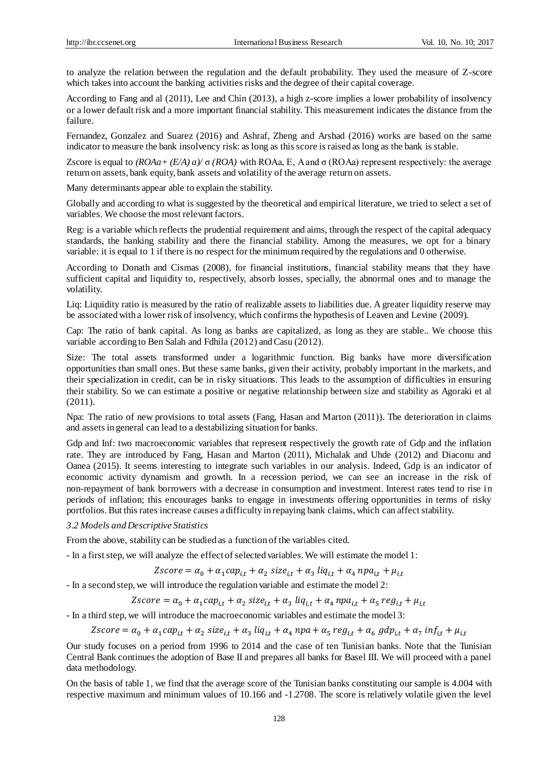to analyze the relation between the regulation and the default probability. They used the measure of Z-score which takes into account the banking activities risks and the degree of their capital coverage.

According to Fang and al (2011), Lee and Chin (2013), a high z-score implies a lower probability of insolvency or a lower default risk and a more important financial stability. This measurement indicates the distance from the failure.

Fernandez, Gonzalez and Suarez (2016) and Ashraf, Zheng and Arshad (2016) works are based on the same indicator to measure the bank insolvency risk: as long as this score is raised as long as the bank is stable.

Zscore is equal to *(ROAa+ (E/A) a)/* σ *(ROA)* with ROAa, E, A and σ (ROAa) represent respectively: the average return on assets, bank equity, bank assets and volatility of the average return on assets.

Many determinants appear able to explain the stability.

Globally and according to what is suggested by the theoretical and empirical literature, we tried to select a set of variables. We choose the most relevant factors.

Reg: is a variable which reflects the prudential requirement and aims, through the respect of the capital adequacy standards, the banking stability and there the financial stability. Among the measures, we opt for a binary variable: it is equal to 1 if there is no respect for the minimum required by the regulations and 0 otherwise.

According to Donath and Cismas (2008), for financial institutions, financial stability means that they have sufficient capital and liquidity to, respectively, absorb losses, specially, the abnormal ones and to manage the volatility.

Liq: Liquidity ratio is measured by the ratio of realizable assets to liabilities due. A greater liquidity reserve may be associated with a lower risk of insolvency, which confirms the hypothesis of Leaven and Levine (2009).

Cap: The ratio of bank capital. As long as banks are capitalized, as long as they are stable.. We choose this variable according to Ben Salah and Fdhila (2012) and Casu (2012).

Size: The total assets transformed under a logarithmic function. Big banks have more diversification opportunities than small ones. But these same banks, given their activity, probably important in the markets, and their specialization in credit, can be in risky situations. This leads to the assumption of difficulties in ensuring their stability. So we can estimate a positive or negative relationship between size and stability as Agoraki et al (2011).

Npa: The ratio of new provisions to total assets (Fang, Hasan and Marton (2011)). The deterioration in claims and assets in general can lead to a destabilizing situation for banks.

Gdp and Inf: two macroeconomic variables that represent respectively the growth rate of Gdp and the inflation rate. They are introduced by Fang, Hasan and Marton (2011), Michalak and Uhde (2012) and Diaconu and Oanea (2015). It seems interesting to integrate such variables in our analysis. Indeed, Gdp is an indicator of economic activity dynamism and growth. In a recession period, we can see an increase in the risk of non-repayment of bank borrowers with a decrease in consumption and investment. Interest rates tend to rise in periods of inflation; this encourages banks to engage in investments offering opportunities in terms of risky portfolios. But this rates increase causes a difficulty in repaying bank claims, which can affect stability.

#### *3.2 Models and Descriptive Statistics*

From the above, stability can be studied as a function of the variables cited.

- In a first step, we will analyze the effect of selected variables. We will estimate the model 1:

$$
Zscore = \alpha_0 + \alpha_1 cap_{i,t} + \alpha_2 size_{i,t} + \alpha_3 liq_{i,t} + \alpha_4 npa_{i,t} + \mu_{i,t}
$$

- In a second step, we will introduce the regulation variable and estimate the model 2:

Zscore =  $\alpha_0 + \alpha_1 cap_{i,t} + \alpha_2 size_{i,t} + \alpha_3 liq_{i,t} + \alpha_4 npa_{i,t} + \alpha_5 reg_{i,t} + \mu_{i,t}$ 

- In a third step, we will introduce the macroeconomic variables and estimate the model 3:

Zscore =  $\alpha_0 + \alpha_1 cap_{i,t} + \alpha_2 size_{i,t} + \alpha_3 liq_{i,t} + \alpha_4 npa + \alpha_5 reg_{i,t} + \alpha_6 gdp_{i,t} + \alpha_7 inf_{i,t} + \mu_{i,t}$ 

Our study focuses on a period from 1996 to 2014 and the case of ten Tunisian banks. Note that the Tunisian Central Bank continues the adoption of Base II and prepares all banks for Basel III. We will proceed with a panel data methodology.

On the basis of table 1, we find that the average score of the Tunisian banks constituting our sample is 4.004 with respective maximum and minimum values of 10.166 and -1.2708. The score is relatively volatile given the level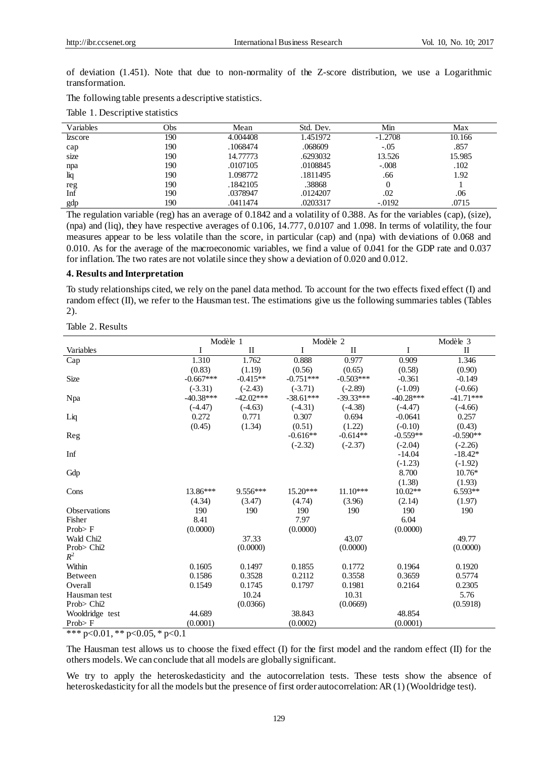of deviation (1.451). Note that due to non-normality of the Z-score distribution, we use a Logarithmic transformation.

The following table presents a descriptive statistics.

Table 1. Descriptive statistics

| Variables      | Obs | Mean     | Std. Dev. | Min       | Max    |
|----------------|-----|----------|-----------|-----------|--------|
| <b>z</b> score | 190 | 4.004408 | 1.451972  | $-1.2708$ | 10.166 |
| cap            | 190 | .1068474 | .068609   | $-.05$    | .857   |
| size           | 190 | 14.77773 | .6293032  | 13.526    | 15.985 |
| npa            | 190 | .0107105 | .0108845  | $-.008$   | .102   |
| $\overline{a}$ | 190 | 1.098772 | .1811495  | .66       | 1.92   |
| reg            | 190 | .1842105 | .38868    | 0         |        |
| Inf            | 190 | .0378947 | .0124207  | .02       | .06    |
| gdp            | 190 | .0411474 | .0203317  | $-.0192$  | .0715  |

The regulation variable (reg) has an average of 0.1842 and a volatility of 0.388. As for the variables (cap), (size), (npa) and (liq), they have respective averages of 0.106, 14.777, 0.0107 and 1.098. In terms of volatility, the four measures appear to be less volatile than the score, in particular (cap) and (npa) with deviations of 0.068 and 0.010. As for the average of the macroeconomic variables, we find a value of 0.041 for the GDP rate and 0.037 for inflation. The two rates are not volatile since they show a deviation of 0.020 and 0.012.

#### **4. Results and Interpretation**

To study relationships cited, we rely on the panel data method. To account for the two effects fixed effect (I) and random effect (II), we refer to the Hausman test. The estimations give us the following summaries tables (Tables 2).

Table 2. Results

|                              | Modèle 1    |              | Modèle 2    |             |             | Modèle 3     |
|------------------------------|-------------|--------------|-------------|-------------|-------------|--------------|
| Variables                    | I           | $\mathbf{I}$ | I           | $_{\rm II}$ | I           | $\mathbf{I}$ |
| Cap                          | 1.310       | 1.762        | 0.888       | 0.977       | 0.909       | 1.346        |
|                              | (0.83)      | (1.19)       | (0.56)      | (0.65)      | (0.58)      | (0.90)       |
| Size                         | $-0.667***$ | $-0.415**$   | $-0.751***$ | $-0.503***$ | $-0.361$    | $-0.149$     |
|                              | $(-3.31)$   | $(-2.43)$    | $(-3.71)$   | $(-2.89)$   | $(-1.09)$   | $(-0.66)$    |
| Npa                          | $-40.38***$ | $-42.02***$  | $-38.61***$ | $-39.33***$ | $-40.28***$ | $-41.71***$  |
|                              | $(-4.47)$   | $(-4.63)$    | $(-4.31)$   | $(-4.38)$   | $(-4.47)$   | $(-4.66)$    |
| Liq                          | 0.272       | 0.771        | 0.307       | 0.694       | $-0.0641$   | 0.257        |
|                              | (0.45)      | (1.34)       | (0.51)      | (1.22)      | $(-0.10)$   | (0.43)       |
| Reg                          |             |              | $-0.616**$  | $-0.614**$  | $-0.559**$  | $-0.590**$   |
|                              |             |              | $(-2.32)$   | $(-2.37)$   | $(-2.04)$   | $(-2.26)$    |
| Inf                          |             |              |             |             | $-14.04$    | $-18.42*$    |
|                              |             |              |             |             | $(-1.23)$   | $(-1.92)$    |
| Gdp                          |             |              |             |             | 8.700       | $10.76*$     |
|                              |             |              |             |             | (1.38)      | (1.93)       |
| Cons                         | 13.86***    | 9.556***     | 15.20***    | $11.10***$  | $10.02**$   | $6.593**$    |
|                              | (4.34)      | (3.47)       | (4.74)      | (3.96)      | (2.14)      | (1.97)       |
| <b>Observations</b>          | 190         | 190          | 190         | 190         | 190         | 190          |
| Fisher                       | 8.41        |              | 7.97        |             | 6.04        |              |
| Prob>F                       | (0.0000)    |              | (0.0000)    |             | (0.0000)    |              |
| Wald Chi <sub>2</sub>        |             | 37.33        |             | 43.07       |             | 49.77        |
| Prob> Chi2                   |             | (0.0000)     |             | (0.0000)    |             | (0.0000)     |
| $R^2$                        |             |              |             |             |             |              |
| Within                       | 0.1605      | 0.1497       | 0.1855      | 0.1772      | 0.1964      | 0.1920       |
| Between                      | 0.1586      | 0.3528       | 0.2112      | 0.3558      | 0.3659      | 0.5774       |
| Overall                      | 0.1549      | 0.1745       | 0.1797      | 0.1981      | 0.2164      | 0.2305       |
| Hausman test                 |             | 10.24        |             | 10.31       |             | 5.76         |
| Prob> Chi2                   |             | (0.0366)     |             | (0.0669)    |             | (0.5918)     |
| Wooldridge test              | 44.689      |              | 38.843      |             | 48.854      |              |
| $Prob$ F                     | (0.0001)    |              | (0.0002)    |             | (0.0001)    |              |
| 444.00144.<br>$0.05 \pm 0.1$ |             |              |             |             |             |              |

\*\*\* p<0.01, \*\* p<0.05, \* p<0.1

The Hausman test allows us to choose the fixed effect (I) for the first model and the random effect (II) for the others models. We can conclude that all models are globally significant.

We try to apply the heteroskedasticity and the autocorrelation tests. These tests show the absence of heteroskedasticity for all the models but the presence of first order autocorrelation: AR (1) (Wooldridge test).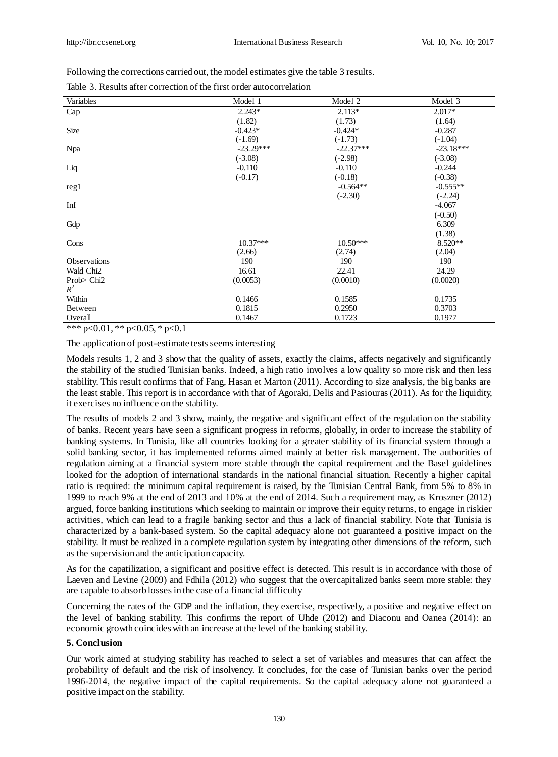Following the corrections carried out, the model estimates give the table 3 results.

| Variables             | Model 1     | Model 2     | Model 3     |
|-----------------------|-------------|-------------|-------------|
| Cap                   | $2.243*$    | $2.113*$    | $2.017*$    |
|                       | (1.82)      | (1.73)      | (1.64)      |
| Size                  | $-0.423*$   | $-0.424*$   | $-0.287$    |
|                       | $(-1.69)$   | $(-1.73)$   | $(-1.04)$   |
| Npa                   | $-23.29***$ | $-22.37***$ | $-23.18***$ |
|                       | $(-3.08)$   | $(-2.98)$   | $(-3.08)$   |
| Liq                   | $-0.110$    | $-0.110$    | $-0.244$    |
|                       | $(-0.17)$   | $(-0.18)$   | $(-0.38)$   |
| reg1                  |             | $-0.564**$  | $-0.555**$  |
|                       |             | $(-2.30)$   | $(-2.24)$   |
| Inf                   |             |             | $-4.067$    |
|                       |             |             | $(-0.50)$   |
| Gdp                   |             |             | 6.309       |
|                       |             |             | (1.38)      |
| Cons                  | $10.37***$  | $10.50***$  | $8.520**$   |
|                       | (2.66)      | (2.74)      | (2.04)      |
| Observations          | 190         | 190         | 190         |
| Wald Chi <sub>2</sub> | 16.61       | 22.41       | 24.29       |
| Prob> Chi2            | (0.0053)    | (0.0010)    | (0.0020)    |
| $R^2$                 |             |             |             |
| Within                | 0.1466      | 0.1585      | 0.1735      |
| Between               | 0.1815      | 0.2950      | 0.3703      |
| Overall               | 0.1467      | 0.1723      | 0.1977      |

\*\*\* p<0.01, \*\* p<0.05, \* p<0.1

The application of post-estimate tests seems interesting

Models results 1, 2 and 3 show that the quality of assets, exactly the claims, affects negatively and significantly the stability of the studied Tunisian banks. Indeed, a high ratio involves a low quality so more risk and then less stability. This result confirms that of Fang, Hasan et Marton (2011). According to size analysis, the big banks are the least stable. This report is in accordance with that of Agoraki, Delis and Pasiouras (2011). As for the liquidity, it exercises no influence on the stability.

The results of models 2 and 3 show, mainly, the negative and significant effect of the regulation on the stability of banks. Recent years have seen a significant progress in reforms, globally, in order to increase the stability of banking systems. In Tunisia, like all countries looking for a greater stability of its financial system through a solid banking sector, it has implemented reforms aimed mainly at better risk management. The authorities of regulation aiming at a financial system more stable through the capital requirement and the Basel guidelines looked for the adoption of international standards in the national financial situation. Recently a higher capital ratio is required: the minimum capital requirement is raised, by the Tunisian Central Bank, from 5% to 8% in 1999 to reach 9% at the end of 2013 and 10% at the end of 2014. Such a requirement may, as Kroszner (2012) argued, force banking institutions which seeking to maintain or improve their equity returns, to engage in riskier activities, which can lead to a fragile banking sector and thus a lack of financial stability. Note that Tunisia is characterized by a bank-based system. So the capital adequacy alone not guaranteed a positive impact on the stability. It must be realized in a complete regulation system by integrating other dimensions of the reform, such as the supervision and the anticipation capacity.

As for the capatilization, a significant and positive effect is detected. This result is in accordance with those of Laeven and Levine (2009) and Fdhila (2012) who suggest that the overcapitalized banks seem more stable: they are capable to absorb losses in the case of a financial difficulty

Concerning the rates of the GDP and the inflation, they exercise, respectively, a positive and negative effect on the level of banking stability. This confirms the report of Uhde (2012) and Diaconu and Oanea (2014): an economic growth coincides with an increase at the level of the banking stability.

#### **5. Conclusion**

Our work aimed at studying stability has reached to select a set of variables and measures that can affect the probability of default and the risk of insolvency. It concludes, for the case of Tunisian banks over the period 1996-2014, the negative impact of the capital requirements. So the capital adequacy alone not guaranteed a positive impact on the stability.